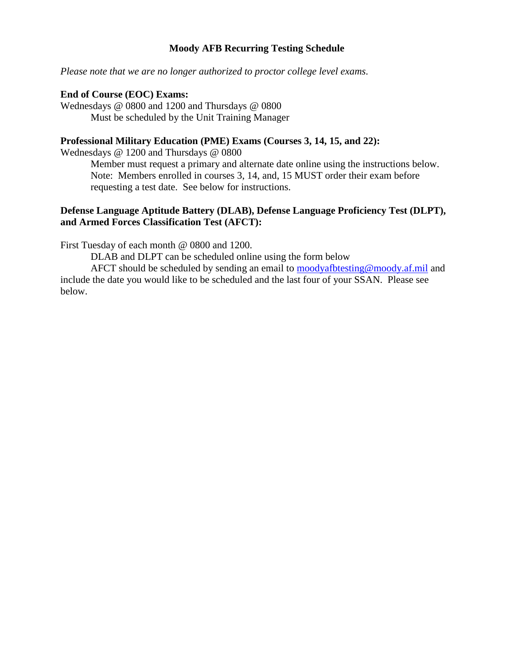### **Moody AFB Recurring Testing Schedule**

*Please note that we are no longer authorized to proctor college level exams.*

#### **End of Course (EOC) Exams:**

Wednesdays @ 0800 and 1200 and Thursdays @ 0800 Must be scheduled by the Unit Training Manager

### **Professional Military Education (PME) Exams (Courses 3, 14, 15, and 22):**

Wednesdays @ 1200 and Thursdays @ 0800

Member must request a primary and alternate date online using the instructions below. Note: Members enrolled in courses 3, 14, and, 15 MUST order their exam before requesting a test date. See below for instructions.

### **Defense Language Aptitude Battery (DLAB), Defense Language Proficiency Test (DLPT), and Armed Forces Classification Test (AFCT):**

First Tuesday of each month @ 0800 and 1200.

DLAB and DLPT can be scheduled online using the form below

AFCT should be scheduled by sending an email to [moodyafbtesting@moody.af.mil](mailto:moodyafbtesting@moody.af.mil) and include the date you would like to be scheduled and the last four of your SSAN. Please see below.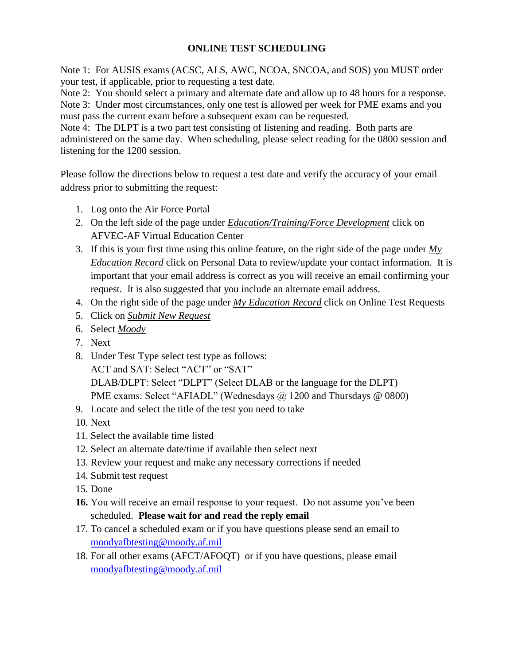# **ONLINE TEST SCHEDULING**

Note 1: For AUSIS exams (ACSC, ALS, AWC, NCOA, SNCOA, and SOS) you MUST order your test, if applicable, prior to requesting a test date.

Note 2: You should select a primary and alternate date and allow up to 48 hours for a response. Note 3: Under most circumstances, only one test is allowed per week for PME exams and you must pass the current exam before a subsequent exam can be requested.

Note 4: The DLPT is a two part test consisting of listening and reading. Both parts are administered on the same day. When scheduling, please select reading for the 0800 session and listening for the 1200 session.

Please follow the directions below to request a test date and verify the accuracy of your email address prior to submitting the request:

- 1. Log onto the Air Force Portal
- 2. On the left side of the page under *Education/Training/Force Development* click on AFVEC-AF Virtual Education Center
- 3. If this is your first time using this online feature, on the right side of the page under *My Education Record* click on Personal Data to review/update your contact information. It is important that your email address is correct as you will receive an email confirming your request. It is also suggested that you include an alternate email address.
- 4. On the right side of the page under *My Education Record* click on Online Test Requests
- 5. Click on *Submit New Request*
- 6. Select *Moody*
- 7. Next
- 8. Under Test Type select test type as follows: ACT and SAT: Select "ACT" or "SAT" DLAB/DLPT: Select "DLPT" (Select DLAB or the language for the DLPT) PME exams: Select "AFIADL" (Wednesdays @ 1200 and Thursdays @ 0800)
- 9. Locate and select the title of the test you need to take
- 10. Next
- 11. Select the available time listed
- 12. Select an alternate date/time if available then select next
- 13. Review your request and make any necessary corrections if needed
- 14. Submit test request
- 15. Done
- **16.** You will receive an email response to your request. Do not assume you've been scheduled. **Please wait for and read the reply email**
- 17. To cancel a scheduled exam or if you have questions please send an email to [moodyafbtesting@moody.af.mil](mailto:moodyafbtesting@moody.af.mil)
- 18. For all other exams (AFCT/AFOQT) or if you have questions, please email [moodyafbtesting@moody.af.mil](mailto:moodyafbtesting@moody.af.mil)